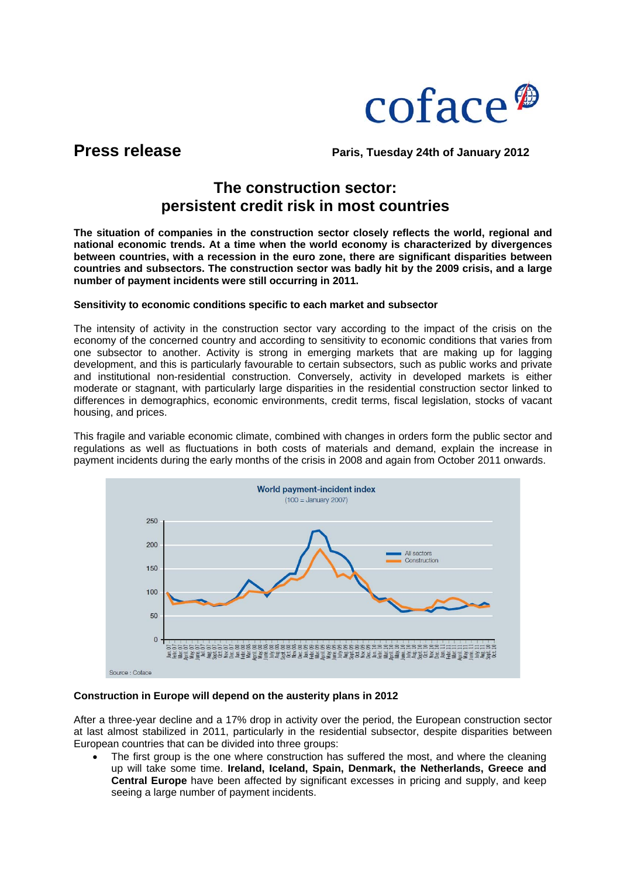

**Press release** Paris, Tuesday 24th of January 2012

# **The construction sector: persistent credit risk in most countries**

**The situation of companies in the construction sector closely reflects the world, regional and national economic trends. At a time when the world economy is characterized by divergences between countries, with a recession in the euro zone, there are significant disparities between countries and subsectors. The construction sector was badly hit by the 2009 crisis, and a large number of payment incidents were still occurring in 2011.** 

# **Sensitivity to economic conditions specific to each market and subsector**

The intensity of activity in the construction sector vary according to the impact of the crisis on the economy of the concerned country and according to sensitivity to economic conditions that varies from one subsector to another. Activity is strong in emerging markets that are making up for lagging development, and this is particularly favourable to certain subsectors, such as public works and private and institutional non-residential construction. Conversely, activity in developed markets is either moderate or stagnant, with particularly large disparities in the residential construction sector linked to differences in demographics, economic environments, credit terms, fiscal legislation, stocks of vacant housing, and prices.

This fragile and variable economic climate, combined with changes in orders form the public sector and regulations as well as fluctuations in both costs of materials and demand, explain the increase in payment incidents during the early months of the crisis in 2008 and again from October 2011 onwards.



### **Construction in Europe will depend on the austerity plans in 2012**

After a three-year decline and a 17% drop in activity over the period, the European construction sector at last almost stabilized in 2011, particularly in the residential subsector, despite disparities between European countries that can be divided into three groups:

The first group is the one where construction has suffered the most, and where the cleaning up will take some time. **Ireland, Iceland, Spain, Denmark, the Netherlands, Greece and Central Europe** have been affected by significant excesses in pricing and supply, and keep seeing a large number of payment incidents.